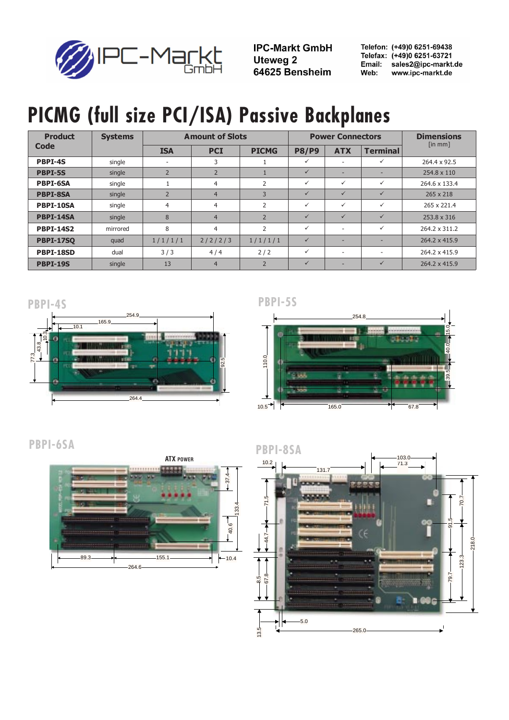

**IPC-Markt GmbH Uteweg 2** 64625 Bensheim

Telefon: (+49)0 6251-69438 Telefax: (+49)0 6251-63721 Email: sales2@ipc-markt.de Web: www.ipc-markt.de

### PICMG (full size PCI/ISA) Passive Backplanes

| <b>Product</b><br>Code | <b>Systems</b> | <b>Amount of Slots</b>   |                |                |              | <b>Power Connectors</b>  | <b>Dimensions</b> |                               |
|------------------------|----------------|--------------------------|----------------|----------------|--------------|--------------------------|-------------------|-------------------------------|
|                        |                | <b>ISA</b>               | <b>PCI</b>     | <b>PICMG</b>   | <b>P8/P9</b> | <b>ATX</b>               | <b>Terminal</b>   | $\lceil \ln \text{mm} \rceil$ |
| <b>PBPI-4S</b>         | single         | $\overline{\phantom{a}}$ | 3              |                | ✓            | $\overline{\phantom{a}}$ | $\checkmark$      | 264.4 x 92.5                  |
| <b>PBPI-5S</b>         | single         | $\overline{2}$           | $\overline{2}$ |                | $\checkmark$ | -                        | ۰                 | 254.8 x 110                   |
| <b>PBPI-6SA</b>        | single         |                          | 4              | $\overline{2}$ | ✓            | $\checkmark$             | $\checkmark$      | 264.6 x 133.4                 |
| <b>PBPI-8SA</b>        | single         | $\overline{2}$           | $\overline{4}$ | 3              | $\checkmark$ | $\checkmark$             | $\checkmark$      | 265 x 218                     |
| <b>PBPI-10SA</b>       | single         | 4                        | $\overline{4}$ | $\overline{2}$ | $\checkmark$ | $\checkmark$             | $\checkmark$      | 265 x 221.4                   |
| PBPI-14SA              | single         | 8                        | $\overline{4}$ | $\overline{2}$ | $\checkmark$ | $\checkmark$             | $\checkmark$      | 253.8 x 316                   |
| <b>PBPI-14S2</b>       | mirrored       | 8                        | $\overline{4}$ | $\overline{2}$ | $\checkmark$ | $\overline{\phantom{a}}$ | $\checkmark$      | 264.2 x 311.2                 |
| <b>PBPI-17SQ</b>       | quad           | 1/1/1/1                  | 2/2/2/3        | 1/1/1/1        | $\checkmark$ | -                        | ٠                 | 264.2 x 415.9                 |
| PBPI-18SD              | dual           | 3/3                      | 4/4            | 2/2            | $\checkmark$ | $\overline{\phantom{a}}$ | ٠                 | 264.2 x 415.9                 |
| <b>PBPI-19S</b>        | single         | 13                       | $\overline{4}$ | $\overline{2}$ | $\checkmark$ |                          | $\checkmark$      | 264.2 x 415.9                 |



#### PBPI-5S



#### **PBPI-6SA**



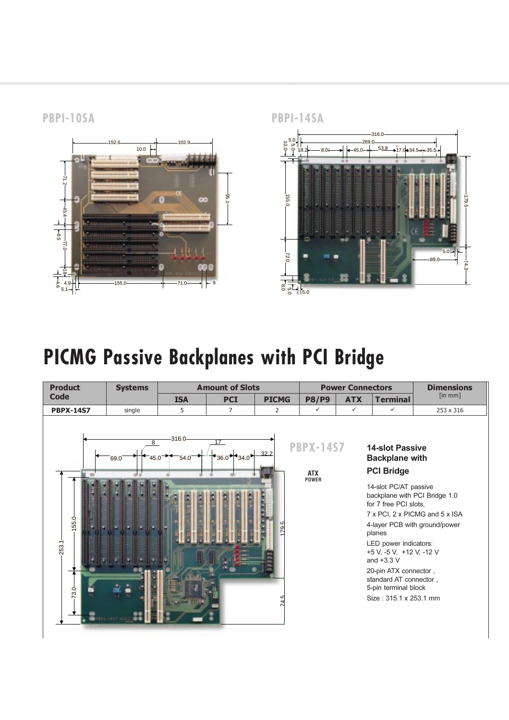**PBPI-10SA** 



**PBPI-14SA** 



### PICMG Passive Backplanes with PCI Bridge

| <b>Product</b>         | <b>Systems</b>    | <b>Amount of Slots</b> |                      |                | <b>Power Connectors</b>                        |              |                                                                                                                                                                                                                                                                                                                                             | <b>Dimensions</b>                                               |
|------------------------|-------------------|------------------------|----------------------|----------------|------------------------------------------------|--------------|---------------------------------------------------------------------------------------------------------------------------------------------------------------------------------------------------------------------------------------------------------------------------------------------------------------------------------------------|-----------------------------------------------------------------|
| <b>Code</b>            |                   | <b>ISA</b>             | <b>PCI</b>           | <b>PICMG</b>   | <b>P8/P9</b>                                   | <b>ATX</b>   | <b>Terminal</b>                                                                                                                                                                                                                                                                                                                             | $\lceil \mathsf{in\,mm} \rceil$                                 |
| <b>PBPX-14S7</b>       | single            | 5                      | $\overline{7}$       | $\overline{2}$ | $\checkmark$                                   | $\checkmark$ | $\checkmark$                                                                                                                                                                                                                                                                                                                                | 253 x 316                                                       |
| 155.0<br>253.1<br>73.0 | 8<br>69.0<br>45.0 | 316.0<br>54.0          | 17<br>$+36.0 + 34.0$ | 32.2<br>م<br>9 | <b>PBPX-14S7</b><br><b>ATX</b><br><b>POWER</b> |              | <b>14-slot Passive</b><br><b>Backplane with</b><br><b>PCI Bridge</b><br>14-slot PC/AT passive<br>backplane with PCI Bridge 1.0<br>for 7 free PCI slots,<br>planes<br>LED power indicators:<br>+5 V, -5 V, +12 V, -12 V<br>and $+3.3$ V<br>20-pin ATX connector,<br>standard AT connector,<br>5-pin terminal block<br>Size: 315.1 x 253.1 mm | 7 x PCI, 2 x PICMG and 5 x ISA<br>4-layer PCB with ground/power |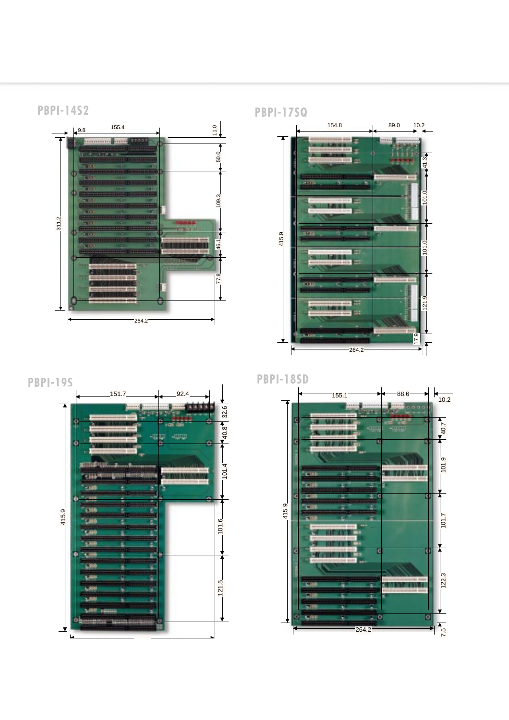







 $-264.2$ 

17.9 121.9 101.0 101.0 41.3

 $101.0$ 

21.9

 $\sqrt{17.9}$ ┪╉

 $41.3$ 

 $101.0$ 

#### **PBPI-17SQ**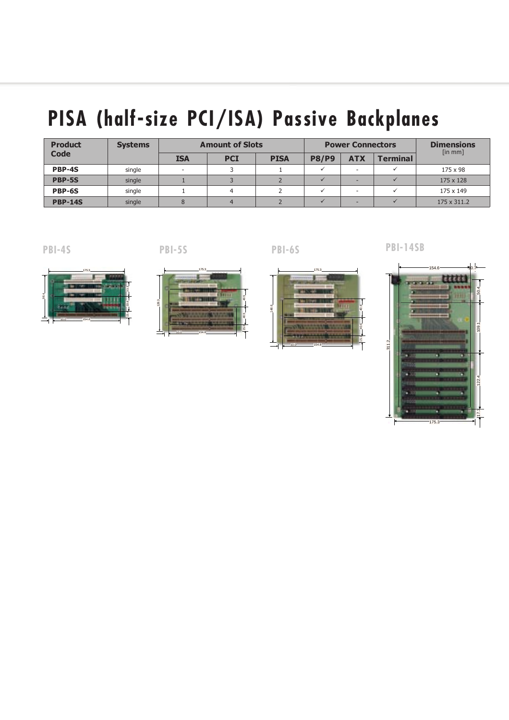# PISA (half-size PCI/ISA) Passive Backplanes

| <b>Product</b> | <b>Systems</b> | <b>Amount of Slots</b> |            |             |              | <b>Power Connectors</b> | <b>Dimensions</b><br>$\lceil \ln \text{mm} \rceil$ |             |
|----------------|----------------|------------------------|------------|-------------|--------------|-------------------------|----------------------------------------------------|-------------|
| <b>Code</b>    |                | <b>ISA</b>             | <b>PCI</b> | <b>PISA</b> | <b>P8/P9</b> | <b>ATX</b>              | <b>Terminal</b>                                    |             |
| PBP-4S         | single         |                        |            |             |              |                         |                                                    | 175 x 98    |
| PBP-5S         | single         |                        |            |             |              |                         |                                                    | 175 x 128   |
| PBP-6S         | single         |                        |            |             |              | $\sim$                  |                                                    | 175 x 149   |
| <b>PBP-14S</b> | single         |                        |            |             |              |                         |                                                    | 175 x 311.2 |

 $PBI-4S$ 

**PBI-5S** 



**PBI-6S** 

**PBI-14SB** 







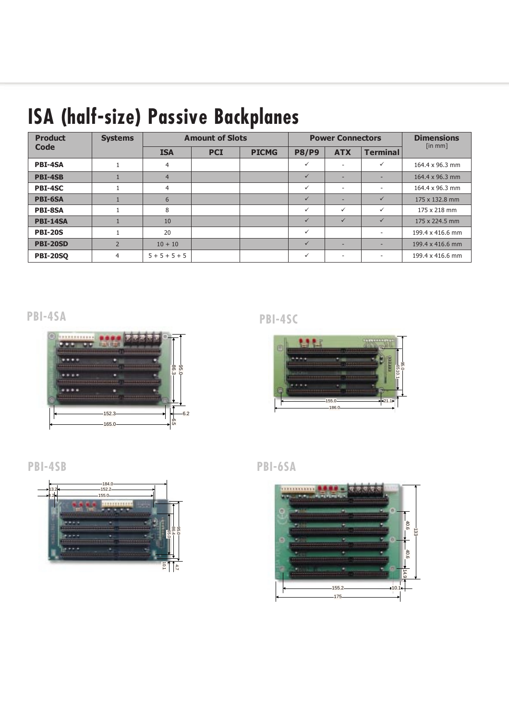## ISA (half-size) Passive Backplanes

| <b>Product</b><br>Code | <b>Systems</b> | <b>Amount of Slots</b> |            |              |              | <b>Power Connectors</b>  | <b>Dimensions</b>        |                  |
|------------------------|----------------|------------------------|------------|--------------|--------------|--------------------------|--------------------------|------------------|
|                        |                | <b>ISA</b>             | <b>PCI</b> | <b>PICMG</b> | <b>P8/P9</b> | <b>ATX</b>               | <b>Terminal</b>          | [in mm]          |
| <b>PBI-4SA</b>         | $\mathbf{1}$   | 4                      |            |              | $\checkmark$ |                          | ✓                        | 164.4 x 96.3 mm  |
| <b>PBI-4SB</b>         |                | $\overline{4}$         |            |              | ✓            | ۰                        |                          | 164.4 x 96.3 mm  |
| PBI-4SC                |                | 4                      |            |              | $\checkmark$ | $\overline{\phantom{a}}$ | $\overline{\phantom{a}}$ | 164.4 x 96.3 mm  |
| <b>PBI-6SA</b>         |                | 6                      |            |              |              |                          | $\checkmark$             | 175 x 132.8 mm   |
| <b>PBI-8SA</b>         |                | 8                      |            |              | ✓            | ✓                        | ✓                        | 175 x 218 mm     |
| <b>PBI-14SA</b>        |                | 10                     |            |              |              |                          | $\checkmark$             | 175 x 224.5 mm   |
| <b>PBI-20S</b>         |                | 20                     |            |              | $\checkmark$ |                          |                          | 199.4 x 416.6 mm |
| <b>PBI-20SD</b>        | $\overline{2}$ | $10 + 10$              |            |              | $\checkmark$ | ۰                        |                          | 199.4 x 416.6 mm |
| <b>PBI-20SO</b>        | 4              | $5 + 5 + 5 + 5$        |            |              | $\checkmark$ | $\overline{\phantom{a}}$ | $\sim$                   | 199.4 x 416.6 mm |

PBI-4SA



PBI-4SC







PBI-6SA

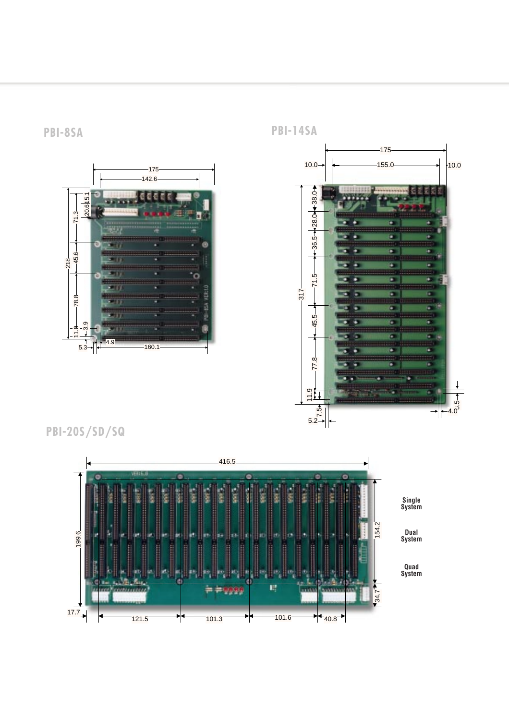**-** 



**SA** PB **PBI-14SA** 



PBI-20S/SD/SQ